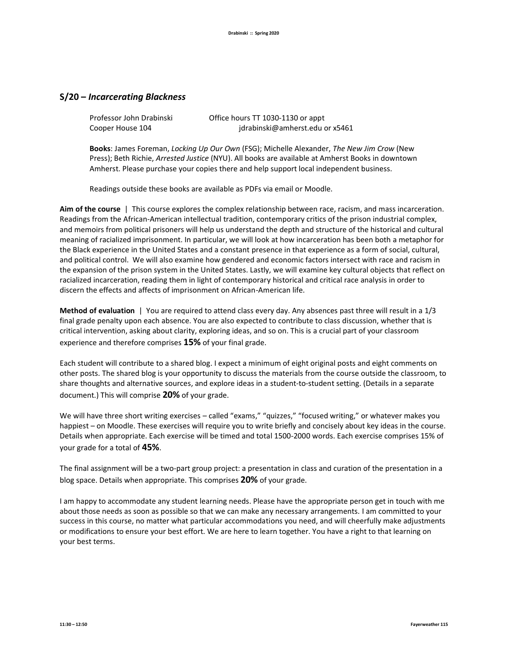## **S/20 –** *Incarcerating Blackness*

| Professor John Drabinski | Office hours TT 1030-1130 or appt |
|--------------------------|-----------------------------------|
| Cooper House 104         | jdrabinski@amherst.edu or x5461   |

**Books**: James Foreman, *Locking Up Our Own* (FSG); Michelle Alexander, *The New Jim Crow* (New Press); Beth Richie, *Arrested Justice* (NYU). All books are available at Amherst Books in downtown Amherst. Please purchase your copies there and help support local independent business.

Readings outside these books are available as PDFs via email or Moodle.

**Aim of the course** | This course explores the complex relationship between race, racism, and mass incarceration. Readings from the African-American intellectual tradition, contemporary critics of the prison industrial complex, and memoirs from political prisoners will help us understand the depth and structure of the historical and cultural meaning of racialized imprisonment. In particular, we will look at how incarceration has been both a metaphor for the Black experience in the United States and a constant presence in that experience as a form of social, cultural, and political control. We will also examine how gendered and economic factors intersect with race and racism in the expansion of the prison system in the United States. Lastly, we will examine key cultural objects that reflect on racialized incarceration, reading them in light of contemporary historical and critical race analysis in order to discern the effects and affects of imprisonment on African-American life.

**Method of evaluation** | You are required to attend class every day. Any absences past three will result in a 1/3 final grade penalty upon each absence. You are also expected to contribute to class discussion, whether that is critical intervention, asking about clarity, exploring ideas, and so on. This is a crucial part of your classroom experience and therefore comprises **15%** of your final grade.

Each student will contribute to a shared blog. I expect a minimum of eight original posts and eight comments on other posts. The shared blog is your opportunity to discuss the materials from the course outside the classroom, to share thoughts and alternative sources, and explore ideas in a student-to-student setting. (Details in a separate document.) This will comprise **20%** of your grade.

We will have three short writing exercises – called "exams," "quizzes," "focused writing," or whatever makes you happiest – on Moodle. These exercises will require you to write briefly and concisely about key ideas in the course. Details when appropriate. Each exercise will be timed and total 1500-2000 words. Each exercise comprises 15% of your grade for a total of **45%**.

The final assignment will be a two-part group project: a presentation in class and curation of the presentation in a blog space. Details when appropriate. This comprises **20%** of your grade.

I am happy to accommodate any student learning needs. Please have the appropriate person get in touch with me about those needs as soon as possible so that we can make any necessary arrangements. I am committed to your success in this course, no matter what particular accommodations you need, and will cheerfully make adjustments or modifications to ensure your best effort. We are here to learn together. You have a right to that learning on your best terms.